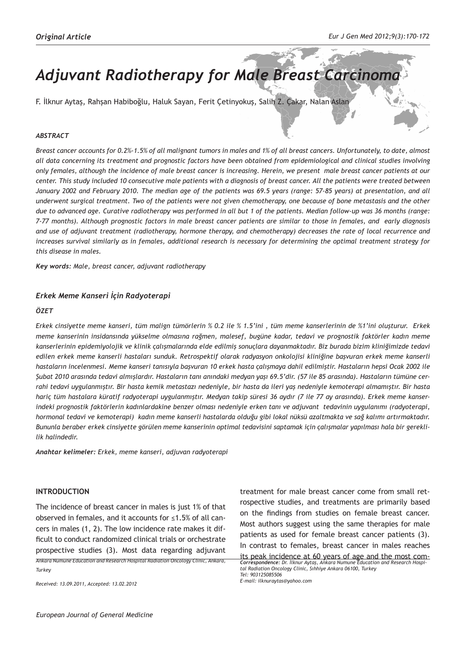# *Adjuvant Radiotherapy for Male Breast Carcinoma*

F. İlknur Aytaş, Rahşan Habiboğlu, Haluk Sayan, Ferit Çetinyokuş, Salih Z. Çakar, Nalan Aslan

## *ABSTRACT*

*Breast cancer accounts for 0.2%-1.5% of all malignant tumors in males and 1% of all breast cancers. Unfortunately, to date, almost all data concerning its treatment and prognostic factors have been obtained from epidemiological and clinical studies involving only females, although the incidence of male breast cancer is increasing. Herein, we present male breast cancer patients at our center. This study included 10 consecutive male patients with a diagnosis of breast cancer. All the patients were treated between January 2002 and February 2010. The median age of the patients was 69.5 years (range: 57-85 years) at presentation, and all underwent surgical treatment. Two of the patients were not given chemotherapy, one because of bone metastasis and the other due to advanced age. Curative radiotherapy was performed in all but 1 of the patients. Median follow-up was 36 months (range: 7-77 months). Although prognostic factors in male breast cancer patients are similar to those in females, and early diagnosis and use of adjuvant treatment (radiotherapy, hormone therapy, and chemotherapy) decreases the rate of local recurrence and*  increases survival similarly as in females, additional research is necessary for determining the optimal treatment strategy for *this disease in males.* 

*Key words: Male, breast cancer, adjuvant radiotherapy* 

## *Erkek Meme Kanseri İçin Radyoterapi*

#### *ÖZET*

*Erkek cinsiyette meme kanseri, tüm malign tümörlerin % 0.2 ile % 1.5'ini , tüm meme kanserlerinin de %1'ini oluşturur. Erkek meme kanserinin insidansında yükselme olmasına rağmen, malesef, bugüne kadar, tedavi ve prognostik faktörler kadın meme kanserlerinin epidemiyolojik ve klinik çalışmalarında elde edilmiş sonuçlara dayanmaktadır. Biz burada bizim kliniğimizde tedavi edilen erkek meme kanserli hastaları sunduk. Retrospektif olarak radyasyon onkolojisi kliniğine başvuran erkek meme kanserli hastaların incelenmesi. Meme kanseri tanısıyla başvuran 10 erkek hasta çalışmaya dahil edilmiştir. Hastaların hepsi Ocak 2002 ile Şubat 2010 arasında tedavi almışlardır. Hastaların tanı anındaki medyan yaşı 69.5'dir. (57 ile 85 arasında). Hastaların tümüne cerrahi tedavi uygulanmıştır. Bir hasta kemik metastazı nedeniyle, bir hasta da ileri yaş nedeniyle kemoterapi almamıştır. Bir hasta hariç tüm hastalara küratif radyoterapi uygulanmıştır. Medyan takip süresi 36 aydır (7 ile 77 ay arasında). Erkek meme kanserindeki prognostik faktörlerin kadınlardakine benzer olması nedeniyle erken tanı ve adjuvant tedavinin uygulanımı (radyoterapi, hormonal tedavi ve kemoterapi) kadın meme kanserli hastalarda olduğu gibi lokal nüksü azaltmakta ve sağ kalımı artırmaktadır. Bununla beraber erkek cinsiyette görülen meme kanserinin optimal tedavisini saptamak için çalışmalar yapılması hala bir gereklilik halindedir.*

*Anahtar kelimeler: Erkek, meme kanseri, adjuvan radyoterapi*

### **INTRODUCTION**

*Ankara Numune Education and Research Hospital Radiation Oncology Clinic, Ankara,*  The incidence of breast cancer in males is just 1% of that observed in females, and it accounts for ≤1.5% of all cancers in males (1, 2). The low incidence rate makes it difficult to conduct randomized clinical trials or orchestrate prospective studies (3). Most data regarding adjuvant

*Turkey*

*Received: 13.09.2011, Accepted: 13.02.2012*

treatment for male breast cancer come from small retrospective studies, and treatments are primarily based on the findings from studies on female breast cancer. Most authors suggest using the same therapies for male patients as used for female breast cancer patients (3). In contrast to females, breast cancer in males reaches

*Correspondence: Dr. İlknur Aytaş, Ankara Numune Education and Research Hospital Radiation Oncology Clinic, Sıhhiye Ankara 06100, Turkey Tel: 903125085506 E-mail: ilknuraytas@yahoo.com*  its peak incidence at 60 years of age and the most com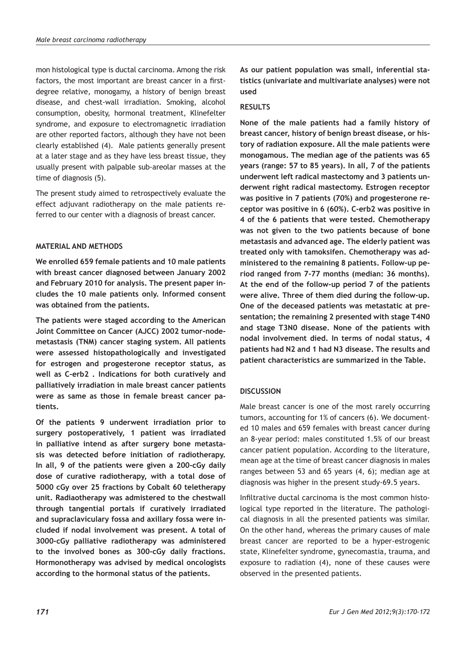mon histological type is ductal carcinoma. Among the risk factors, the most important are breast cancer in a firstdegree relative, monogamy, a history of benign breast disease, and chest-wall irradiation. Smoking, alcohol consumption, obesity, hormonal treatment, Klinefelter syndrome, and exposure to electromagnetic irradiation are other reported factors, although they have not been clearly established (4). Male patients generally present at a later stage and as they have less breast tissue, they usually present with palpable sub-areolar masses at the time of diagnosis (5).

The present study aimed to retrospectively evaluate the effect adjuvant radiotherapy on the male patients referred to our center with a diagnosis of breast cancer.

## **MATERIAL AND METHODS**

**We enrolled 659 female patients and 10 male patients with breast cancer diagnosed between January 2002 and February 2010 for analysis. The present paper includes the 10 male patients only. Informed consent was obtained from the patients.** 

**The patients were staged according to the American Joint Committee on Cancer (AJCC) 2002 tumor-nodemetastasis (TNM) cancer staging system. All patients were assessed histopathologically and investigated for estrogen and progesterone receptor status, as well as C-erb2 . Indications for both curatively and palliatively irradiation in male breast cancer patients were as same as those in female breast cancer patients.** 

**Of the patients 9 underwent irradiation prior to surgery postoperatively, 1 patient was irradiated in palliative intend as after surgery bone metastasis was detected before initiation of radiotherapy. In all, 9 of the patients were given a 200-cGy daily dose of curative radiotherapy, with a total dose of 5000 cGy over 25 fractions by Cobalt 60 teletherapy unit. Radiaotherapy was admistered to the chestwall through tangential portals if curatively irradiated and supraclaviculary fossa and axillary fossa were included if nodal involvement was present. A total of 3000-cGy palliative radiotherapy was administered to the involved bones as 300-cGy daily fractions. Hormonotherapy was advised by medical oncologists according to the hormonal status of the patients.** 

**As our patient population was small, inferential statistics (univariate and multivariate analyses) were not used**

### **RESULTS**

**None of the male patients had a family history of breast cancer, history of benign breast disease, or history of radiation exposure. All the male patients were monogamous. The median age of the patients was 65 years (range: 57 to 85 years). In all, 7 of the patients underwent left radical mastectomy and 3 patients underwent right radical mastectomy. Estrogen receptor was positive in 7 patients (70%) and progesterone receptor was positive in 6 (60%). C-erb2 was positive in 4 of the 6 patients that were tested. Chemotherapy was not given to the two patients because of bone metastasis and advanced age. The elderly patient was treated only with tamoksifen. Chemotherapy was administered to the remaining 8 patients. Follow-up period ranged from 7-77 months (median: 36 months). At the end of the follow-up period 7 of the patients were alive. Three of them died during the follow-up. One of the deceased patients was metastatic at presentation; the remaining 2 presented with stage T4N0 and stage T3N0 disease. None of the patients with nodal involvement died. In terms of nodal status, 4 patients had N2 and 1 had N3 disease. The results and patient characteristics are summarized in the Table.**

## **DISCUSSION**

Male breast cancer is one of the most rarely occurring tumors, accounting for 1% of cancers (6). We documented 10 males and 659 females with breast cancer during an 8-year period: males constituted 1.5% of our breast cancer patient population. According to the literature, mean age at the time of breast cancer diagnosis in males ranges between 53 and 65 years (4, 6); median age at diagnosis was higher in the present study-69.5 years.

Infiltrative ductal carcinoma is the most common histological type reported in the literature. The pathological diagnosis in all the presented patients was similar. On the other hand, whereas the primary causes of male breast cancer are reported to be a hyper-estrogenic state, Klinefelter syndrome, gynecomastia, trauma, and exposure to radiation (4), none of these causes were observed in the presented patients.